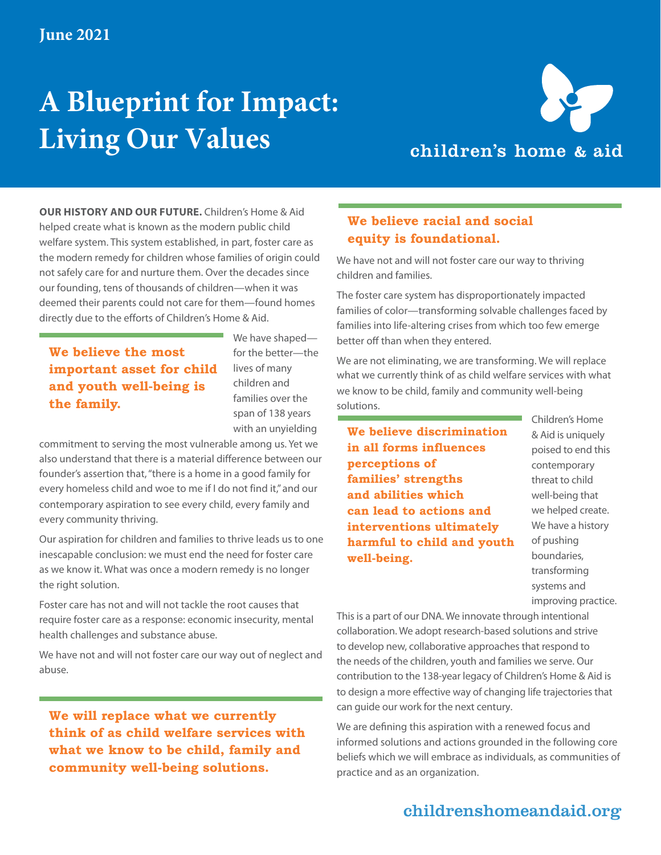# **A Blueprint for Impact: Living Our Values**



**OUR HISTORY AND OUR FUTURE.** Children's Home & Aid helped create what is known as the modern public child welfare system. This system established, in part, foster care as the modern remedy for children whose families of origin could not safely care for and nurture them. Over the decades since our founding, tens of thousands of children—when it was deemed their parents could not care for them—found homes directly due to the efforts of Children's Home & Aid.

**We believe the most important asset for child and youth well-being is the family.**

We have shaped for the better—the lives of many children and families over the span of 138 years with an unyielding

commitment to serving the most vulnerable among us. Yet we also understand that there is a material difference between our founder's assertion that, "there is a home in a good family for every homeless child and woe to me if I do not find it," and our contemporary aspiration to see every child, every family and every community thriving.

Our aspiration for children and families to thrive leads us to one inescapable conclusion: we must end the need for foster care as we know it. What was once a modern remedy is no longer the right solution.

Foster care has not and will not tackle the root causes that require foster care as a response: economic insecurity, mental health challenges and substance abuse.

We have not and will not foster care our way out of neglect and abuse.

**We will replace what we currently think of as child welfare services with what we know to be child, family and community well-being solutions.**

### **We believe racial and social equity is foundational.**

We have not and will not foster care our way to thriving children and families.

The foster care system has disproportionately impacted families of color—transforming solvable challenges faced by families into life-altering crises from which too few emerge better off than when they entered.

We are not eliminating, we are transforming. We will replace what we currently think of as child welfare services with what we know to be child, family and community well-being solutions.

**We believe discrimination in all forms influences perceptions of families' strengths and abilities which can lead to actions and interventions ultimately harmful to child and youth well-being.**

Children's Home & Aid is uniquely poised to end this contemporary threat to child well-being that we helped create. We have a history of pushing boundaries, transforming systems and improving practice.

This is a part of our DNA. We innovate through intentional collaboration. We adopt research-based solutions and strive to develop new, collaborative approaches that respond to the needs of the children, youth and families we serve. Our contribution to the 138-year legacy of Children's Home & Aid is to design a more effective way of changing life trajectories that can guide our work for the next century.

We are defining this aspiration with a renewed focus and informed solutions and actions grounded in the following core beliefs which we will embrace as individuals, as communities of practice and as an organization.

### childrenshomeandaid.org